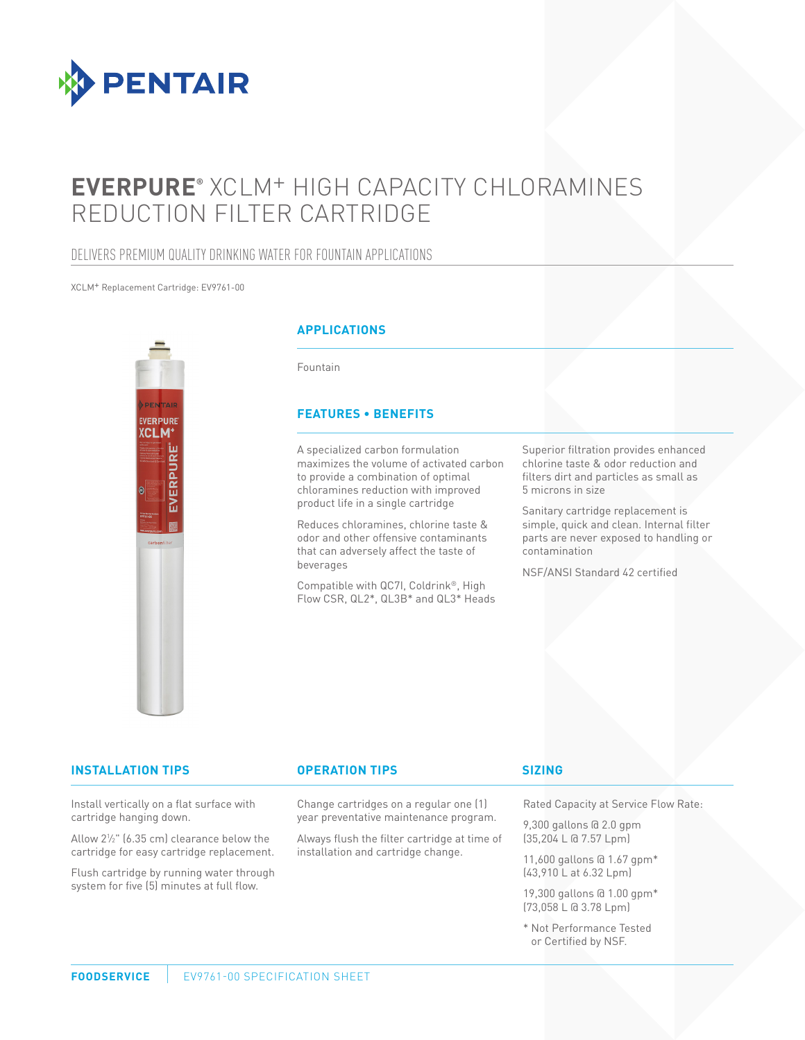

# **EVERPURE®** XCLM+ HIGH CAPACITY CHLORAMINES REDUCTION FILTER CARTRIDGE

## DELIVERS PREMIUM QUALITY DRINKING WATER FOR FOUNTAIN APPLICATIONS

#### XCLM+ Replacement Cartridge: EV9761-00



#### **APPLICATIONS**

Fountain

#### **FEATURES • BENEFITS**

A specialized carbon formulation maximizes the volume of activated carbon to provide a combination of optimal chloramines reduction with improved product life in a single cartridge

Reduces chloramines, chlorine taste & odor and other offensive contaminants that can adversely affect the taste of beverages

Compatible with QC7I, Coldrink®, High Flow CSR, QL2\*, QL3B\* and QL3\* Heads

Superior filtration provides enhanced chlorine taste & odor reduction and filters dirt and particles as small as 5 microns in size

Sanitary cartridge replacement is simple, quick and clean. Internal filter parts are never exposed to handling or contamination

NSF/ANSI Standard 42 certified

#### **INSTALLATION TIPS OPERATION TIPS**

Change cartridges on a regular one (1) year preventative maintenance program.

Always flush the filter cartridge at time of installation and cartridge change.

#### **SIZING**

Rated Capacity at Service Flow Rate:

9,300 gallons @ 2.0 gpm (35,204 L @ 7.57 Lpm)

11,600 gallons @ 1.67 gpm\* (43,910 L at 6.32 Lpm)

19,300 gallons @ 1.00 gpm\* (73,058 L @ 3.78 Lpm)

\* Not Performance Tested or Certified by NSF.

## Install vertically on a flat surface with

cartridge hanging down. Allow 21 ⁄2" (6.35 cm) clearance below the

cartridge for easy cartridge replacement.

Flush cartridge by running water through system for five (5) minutes at full flow.